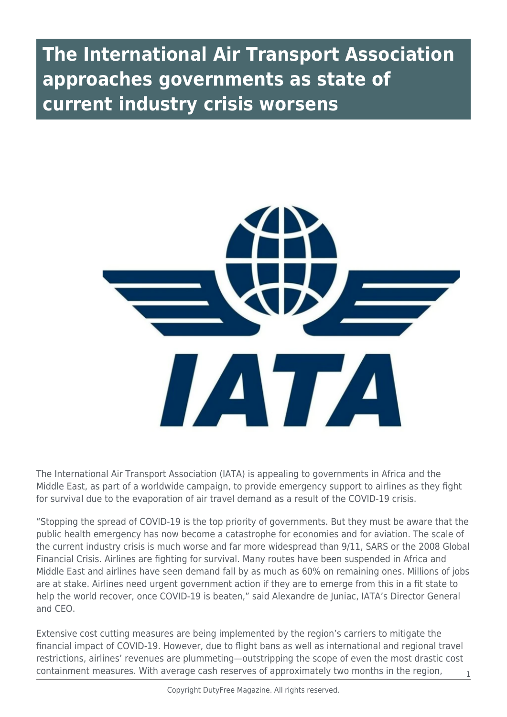## **The International Air Transport Association approaches governments as state of current industry crisis worsens**



The International Air Transport Association (IATA) is appealing to governments in Africa and the Middle East, as part of a worldwide campaign, to provide emergency support to airlines as they fight for survival due to the evaporation of air travel demand as a result of the COVID-19 crisis.

"Stopping the spread of COVID-19 is the top priority of governments. But they must be aware that the public health emergency has now become a catastrophe for economies and for aviation. The scale of the current industry crisis is much worse and far more widespread than 9/11, SARS or the 2008 Global Financial Crisis. Airlines are fighting for survival. Many routes have been suspended in Africa and Middle East and airlines have seen demand fall by as much as 60% on remaining ones. Millions of jobs are at stake. Airlines need urgent government action if they are to emerge from this in a fit state to help the world recover, once COVID-19 is beaten," said Alexandre de Juniac, IATA's Director General and CEO.

Extensive cost cutting measures are being implemented by the region's carriers to mitigate the financial impact of COVID-19. However, due to flight bans as well as international and regional travel restrictions, airlines' revenues are plummeting—outstripping the scope of even the most drastic cost containment measures. With average cash reserves of approximately two months in the region,